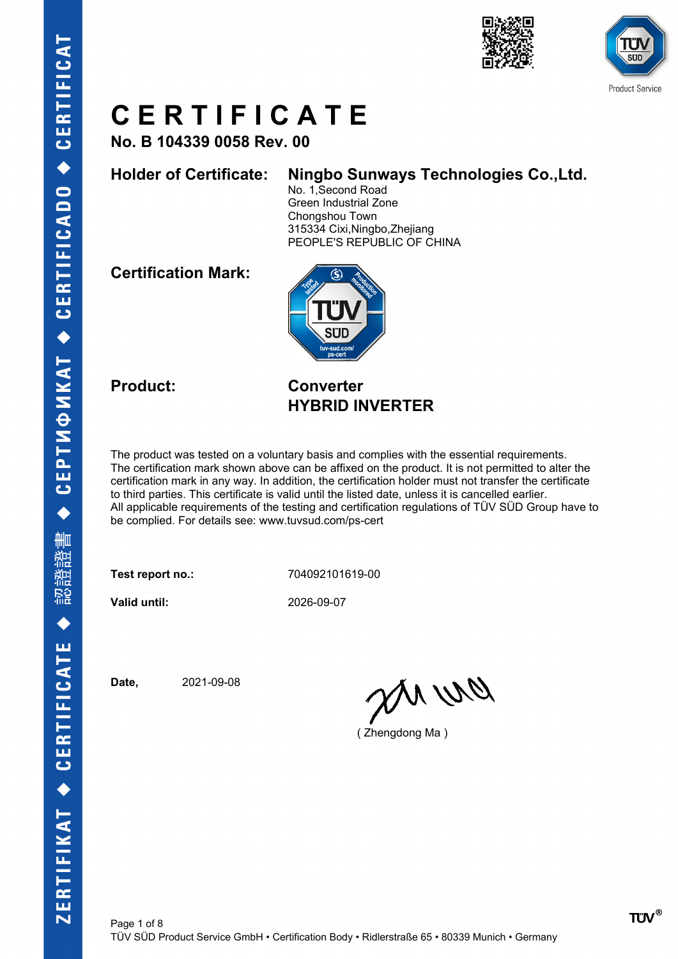



**No. B 104339 0058 Rev. 00**

#### **Holder of Certificate: Ningbo Sunways Technologies Co.,Ltd.**

No. 1,Second Road Green Industrial Zone Chongshou Town 315334 Cixi,Ningbo,Zhejiang PEOPLE'S REPUBLIC OF CHINA

**Certification Mark:**



#### **Product: Converter HYBRID INVERTER**

The product was tested on a voluntary basis and complies with the essential requirements. The certification mark shown above can be affixed on the product. It is not permitted to alter the certification mark in any way. In addition, the certification holder must not transfer the certificate to third parties. This certificate is valid until the listed date, unless it is cancelled earlier. All applicable requirements of the testing and certification regulations of TÜV SÜD Group have to be complied. For details see: www.tuvsud.com/ps-cert

**Test report no.:** 704092101619-00

**Valid until:** 2026-09-07

**Date,** 2021-09-08

anvro

( Zhengdong Ma )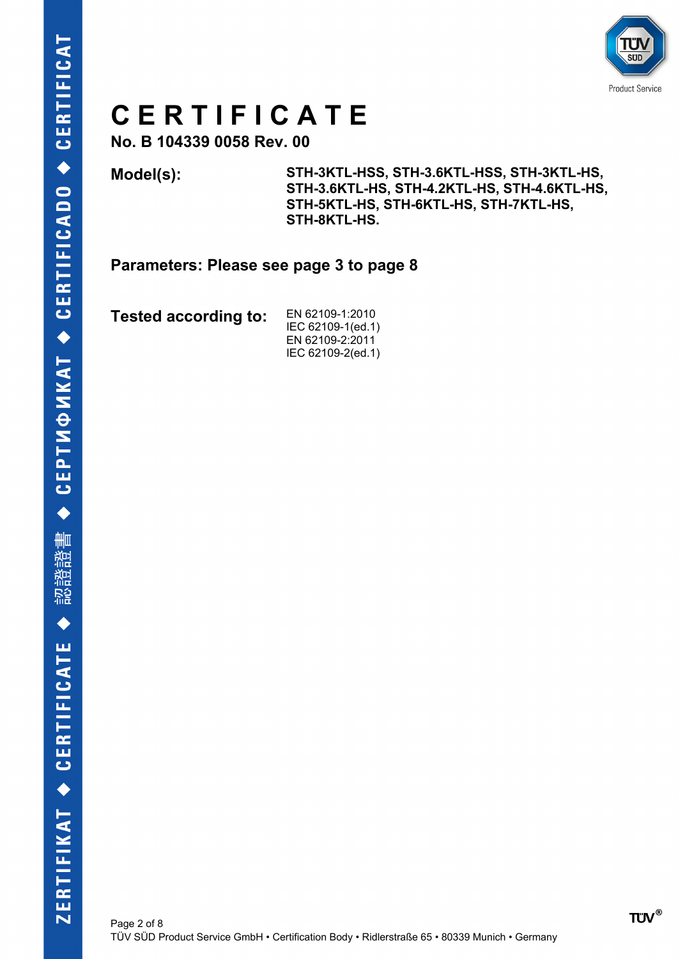

**No. B 104339 0058 Rev. 00**

**Model(s): STH-3KTL-HSS, STH-3.6KTL-HSS, STH-3KTL-HS, STH-3.6KTL-HS, STH-4.2KTL-HS, STH-4.6KTL-HS, STH-5KTL-HS, STH-6KTL-HS, STH-7KTL-HS, STH-8KTL-HS.**

**Parameters: Please see page 3 to page 8**

**Tested according to:** EN 62109-1:2010

IEC 62109-1(ed.1) EN 62109-2:2011 IEC 62109-2(ed.1)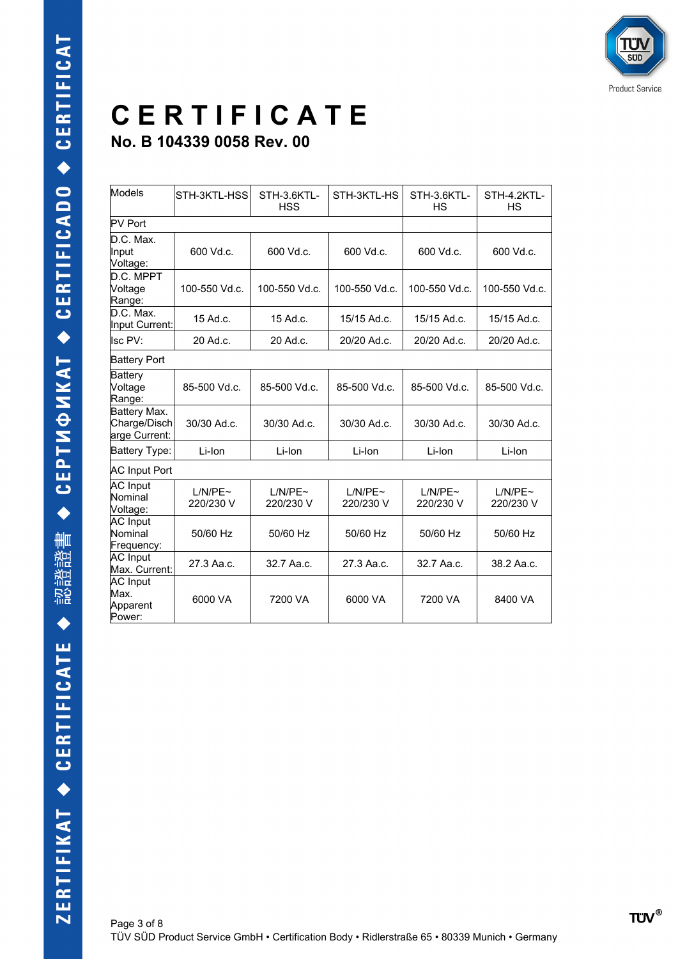| Models                                        | STH-3KTL-HSS         | STH-3.6KTL-<br><b>HSS</b> | STH-3KTL-HS          | STH-3.6KTL-<br>HS    | STH-4.2KTL-<br><b>HS</b> |  |  |
|-----------------------------------------------|----------------------|---------------------------|----------------------|----------------------|--------------------------|--|--|
| <b>PV Port</b>                                |                      |                           |                      |                      |                          |  |  |
| D.C. Max.<br>Input<br>Voltage:                | 600 Vd.c.            | 600 Vd.c.                 | 600 Vd.c.            | 600 Vd.c.            | 600 Vd.c.                |  |  |
| D.C. MPPT<br>Voltage<br>Range:                | 100-550 Vd.c.        | 100-550 Vd.c.             | 100-550 Vd.c.        | 100-550 Vd.c.        | 100-550 Vd.c.            |  |  |
| D.C. Max.<br>Input Current:                   | 15 Ad.c.             | $15$ Ad.c.                | 15/15 Ad.c.          | 15/15 Ad.c.          | 15/15 Ad.c.              |  |  |
| Isc PV:                                       | 20 Ad.c.             | 20 Ad.c.                  | 20/20 Ad.c.          | 20/20 Ad.c.          | 20/20 Ad.c.              |  |  |
| <b>Battery Port</b>                           |                      |                           |                      |                      |                          |  |  |
| Battery<br>Voltage<br>Range:                  | 85-500 Vd.c.         | 85-500 Vd.c.              | 85-500 Vd.c.         | 85-500 Vd.c.         | 85-500 Vd.c.             |  |  |
| Battery Max.<br>Charge/Disch<br>arge Current: | 30/30 Ad.c.          | 30/30 Ad.c.               | 30/30 Ad.c.          | 30/30 Ad.c.          | 30/30 Ad.c.              |  |  |
| Battery Type:                                 | Li-Ion               | Li-Ion                    | Li-Ion               | Li-Ion               | Li-Ion                   |  |  |
|                                               | <b>AC Input Port</b> |                           |                      |                      |                          |  |  |
| <b>AC</b> Input<br>Nominal<br>Voltage:        | L/N/PE~<br>220/230 V | L/N/PE~<br>220/230 V      | L/N/PE~<br>220/230 V | L/N/PE~<br>220/230 V | L/N/PE~<br>220/230 V     |  |  |
| <b>AC</b> Input<br>Nominal<br>Frequency:      | 50/60 Hz             | 50/60 Hz                  | 50/60 Hz             | 50/60 Hz             | 50/60 Hz                 |  |  |
| AC Input<br>Max. Current:                     | 27.3 Aa.c.           | 32.7 Aa.c.                | 27.3 Aa.c.           | 32.7 Aa.c.           | 38.2 Aa.c.               |  |  |
| <b>AC</b> Input<br>Max.<br>Apparent<br>Power: | 6000 VA              | 7200 VA                   | 6000 VA              | 7200 VA              | 8400 VA                  |  |  |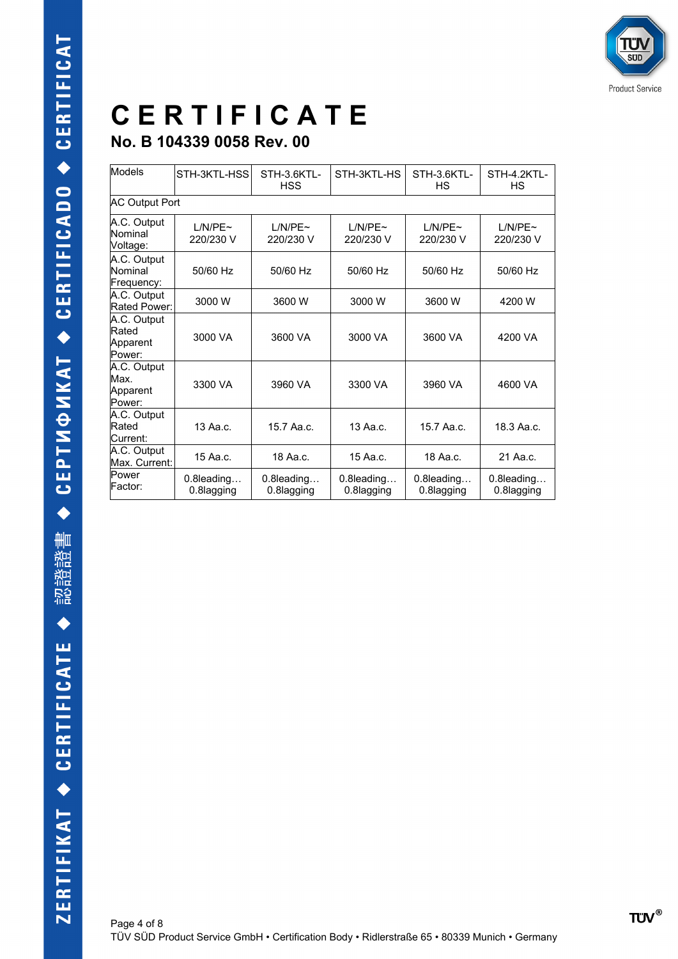| Models                                     | STH-3KTL-HSS                | STH-3.6KTL-<br><b>HSS</b>   | STH-3KTL-HS                 | STH-3.6KTL-<br>НS           | STH-4.2KTL-<br>НS          |  |  |
|--------------------------------------------|-----------------------------|-----------------------------|-----------------------------|-----------------------------|----------------------------|--|--|
|                                            | <b>AC Output Port</b>       |                             |                             |                             |                            |  |  |
| A.C. Output<br>Nominal<br>Voltage:         | $1/N/PF \sim$<br>220/230 V  | $1/N/PF \sim$<br>220/230 V  | $1/N/PF \sim$<br>220/230 V  | $1/N/PF \sim$<br>220/230 V  | $1/N/PF \sim$<br>220/230 V |  |  |
| A.C. Output<br>Nominal<br>Frequency:       | 50/60 Hz                    | 50/60 Hz                    | 50/60 Hz                    | 50/60 Hz                    | 50/60 Hz                   |  |  |
| A.C. Output<br>Rated Power:                | 3000 W                      | 3600 W                      | 3000 W                      | 3600 W                      | 4200 W                     |  |  |
| A.C. Output<br>Rated<br>Apparent<br>Power: | 3000 VA                     | 3600 VA                     | 3000 VA                     | 3600 VA                     | 4200 VA                    |  |  |
| A.C. Output<br>Max.<br>Apparent<br>Power:  | 3300 VA                     | 3960 VA                     | 3300 VA                     | 3960 VA                     | 4600 VA                    |  |  |
| A.C. Output<br>Rated<br>Current:           | 13 Aa.c.                    | 15.7 Aa.c.                  | 13 Aa.c.                    | 15.7 Aa.c.                  | 18.3 Aa.c.                 |  |  |
| A.C. Output<br>Max. Current:               | 15 Aa.c.                    | 18 Aa.c.                    | 15 Aa.c.                    | 18 Aa.c.                    | 21 Aa.c.                   |  |  |
| Power<br>Factor:                           | $0.8$ leading<br>0.8lagging | $0.8$ leading<br>0.8lagging | $0.8$ leading<br>0.8lagging | $0.8$ leading<br>0.8lagging | 0.8leading<br>0.8lagging   |  |  |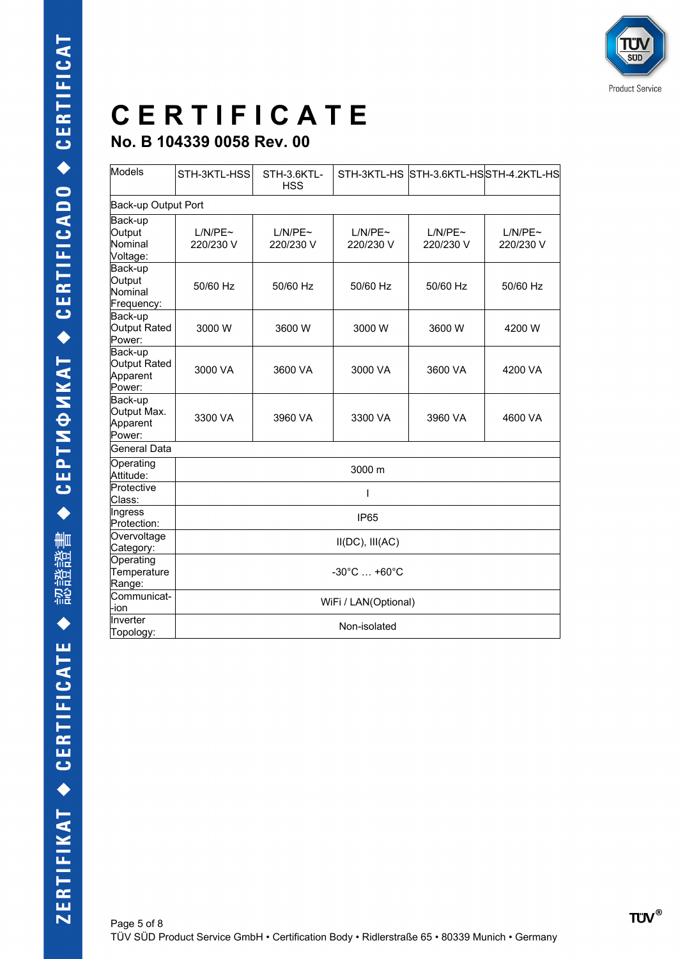### **C E R T I F I C A T E No. B 104339 0058 Rev. 00**

| Models                                        | STH-3KTL-HSS                     | STH-3.6KTL-<br><b>HSS</b> | STH-3KTL-HS          |                      | STH-3.6KTL-HSSTH-4.2KTL-HS |  |  |  |
|-----------------------------------------------|----------------------------------|---------------------------|----------------------|----------------------|----------------------------|--|--|--|
| Back-up Output Port                           |                                  |                           |                      |                      |                            |  |  |  |
| Back-up<br>Output<br>Nominal<br>Voltage:      | L/N/PE~<br>220/230 V             | L/N/PE~<br>220/230 V      | L/N/PE~<br>220/230 V | L/N/PE~<br>220/230 V | L/N/PE~<br>220/230 V       |  |  |  |
| Back-up<br>Output<br>Nominal<br>Frequency:    | 50/60 Hz                         | 50/60 Hz                  | 50/60 Hz             | 50/60 Hz             | 50/60 Hz                   |  |  |  |
| Back-up<br>Output Rated<br>Power:             | 3000 W                           | 3600 W                    | 3000 W               | 3600 W               | 4200 W                     |  |  |  |
| Back-up<br>Output Rated<br>Apparent<br>Power: | 3000 VA                          | 3600 VA                   | 3000 VA              | 3600 VA              | 4200 VA                    |  |  |  |
| Back-up<br>Output Max.<br>Apparent<br>Power:  | 3300 VA                          | 3960 VA                   | 3300 VA              | 3960 VA              | 4600 VA                    |  |  |  |
| General Data                                  |                                  |                           |                      |                      |                            |  |  |  |
| Operating<br>Attitude:                        | 3000 m                           |                           |                      |                      |                            |  |  |  |
| Protective<br>Class:                          | ı                                |                           |                      |                      |                            |  |  |  |
| Ingress<br>Protection:                        | <b>IP65</b>                      |                           |                      |                      |                            |  |  |  |
| Overvoltage<br>Category:                      | $II(DC)$ , $III(AC)$             |                           |                      |                      |                            |  |  |  |
| Operating<br>Temperature<br>Range:            | $-30^{\circ}$ C $ +60^{\circ}$ C |                           |                      |                      |                            |  |  |  |
| Communicat-<br>-ion                           | WiFi / LAN(Optional)             |                           |                      |                      |                            |  |  |  |
| Inverter<br>Topology:                         | Non-isolated                     |                           |                      |                      |                            |  |  |  |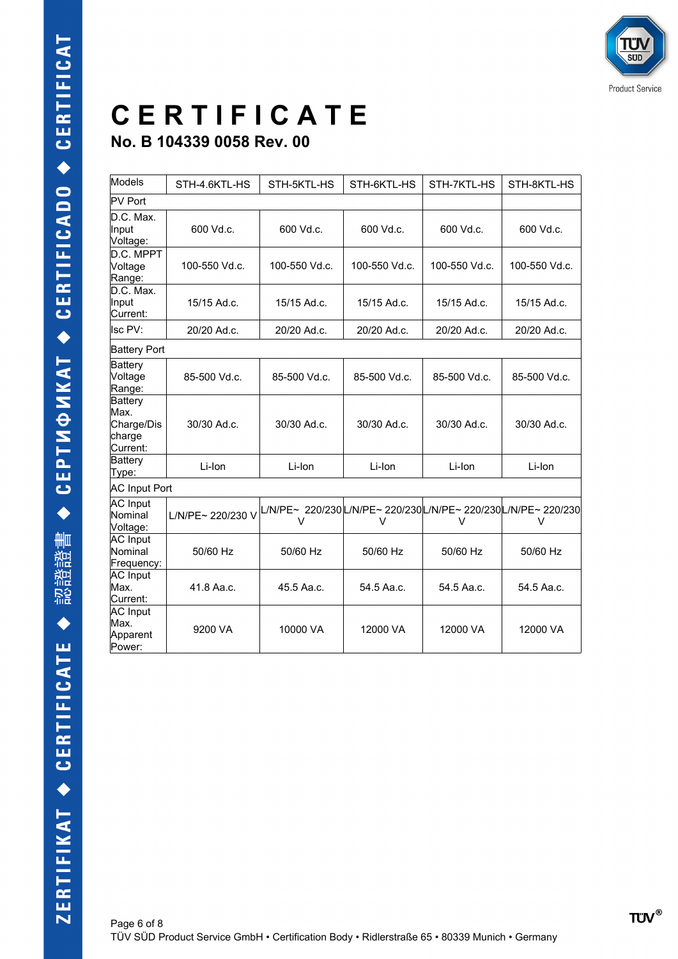| Models                                                     | STH-4.6KTL-HS     | STH-5KTL-HS                                                       | STH-6KTL-HS   | STH-7KTL-HS   | STH-8KTL-HS   |  |
|------------------------------------------------------------|-------------------|-------------------------------------------------------------------|---------------|---------------|---------------|--|
| <b>PV Port</b>                                             |                   |                                                                   |               |               |               |  |
| D.C. Max.<br>Input<br>Voltage:                             | 600 Vd.c.         | 600 Vd.c.                                                         | 600 Vd.c.     | 600 Vd.c.     | 600 Vd.c.     |  |
| D.C. MPPT<br>Voltage<br>Range:                             | 100-550 Vd.c.     | 100-550 Vd.c.                                                     | 100-550 Vd.c. | 100-550 Vd.c. | 100-550 Vd.c. |  |
| D.C. Max.<br>Input<br>Current:                             | 15/15 Ad.c.       | 15/15 Ad.c.                                                       | 15/15 Ad.c.   | 15/15 Ad.c.   | 15/15 Ad.c.   |  |
| Isc PV:                                                    | 20/20 Ad.c.       | 20/20 Ad.c.                                                       | 20/20 Ad.c.   | 20/20 Ad.c.   | 20/20 Ad.c.   |  |
| <b>Battery Port</b>                                        |                   |                                                                   |               |               |               |  |
| <b>Battery</b><br>Voltage<br>Range:                        | 85-500 Vd.c.      | 85-500 Vd.c.                                                      | 85-500 Vd.c.  | 85-500 Vd.c.  | 85-500 Vd.c.  |  |
| <b>Battery</b><br>Max.<br>Charge/Dis<br>charge<br>Current: | 30/30 Ad.c.       | 30/30 Ad.c.                                                       | 30/30 Ad.c.   | 30/30 Ad.c.   | 30/30 Ad.c.   |  |
| Battery<br>Type:                                           | Li-Ion            | Li-Ion                                                            | Li-Ion        | Li-Ion        | Li-Ion        |  |
| <b>AC Input Port</b>                                       |                   |                                                                   |               |               |               |  |
| <b>AC</b> Input<br>Nominal<br>Voltage:                     | L/N/PE~ 220/230 V | L/N/PE~ 220/230L/N/PE~ 220/230L/N/PE~ 220/230L/N/PE~ 220/230<br>v | V             | V             | V             |  |
| <b>AC</b> Input<br>Nominal<br>Frequency:                   | 50/60 Hz          | 50/60 Hz                                                          | 50/60 Hz      | 50/60 Hz      | 50/60 Hz      |  |
| <b>AC</b> Input<br>Max.<br>Current:                        | 41.8 Aa.c.        | 45.5 Aa.c.                                                        | 54.5 Aa.c.    | 54.5 Aa.c.    | 54.5 Aa.c.    |  |
| AC Input<br>Max.<br>Apparent<br>Power:                     | 9200 VA           | 10000 VA                                                          | 12000 VA      | 12000 VA      | 12000 VA      |  |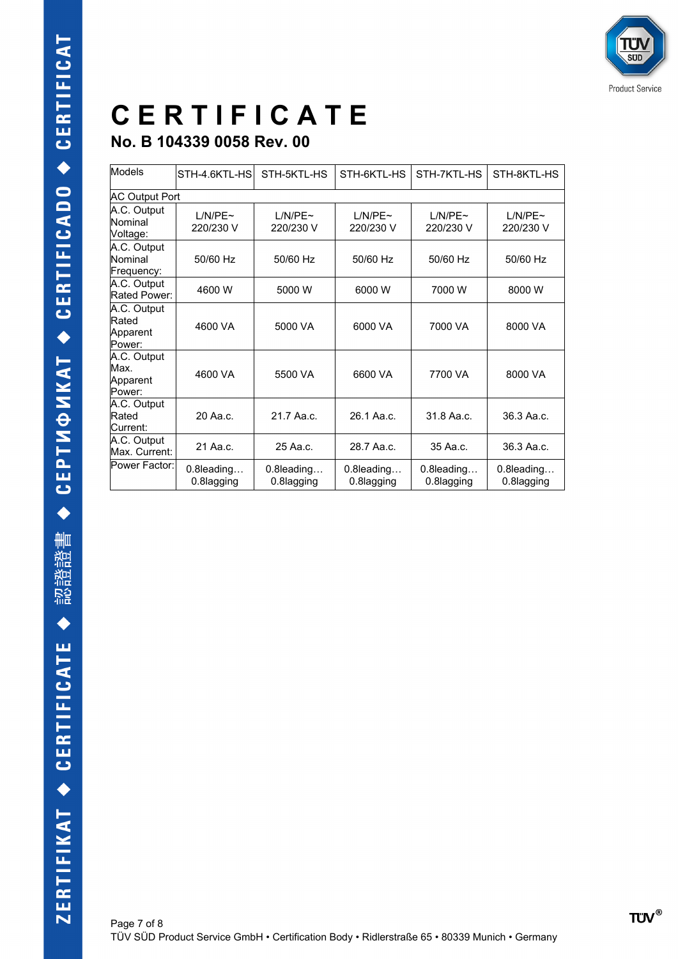| Models                                     | STH-4.6KTL-HS               | STH-5KTL-HS                 | STH-6KTL-HS                | STH-7KTL-HS                 | STH-8KTL-HS                 |  |  |
|--------------------------------------------|-----------------------------|-----------------------------|----------------------------|-----------------------------|-----------------------------|--|--|
|                                            | <b>AC Output Port</b>       |                             |                            |                             |                             |  |  |
| A.C. Output<br>Nominal<br>Voltage:         | $1/N/PF \sim$<br>220/230 V  | $1/N/PF \sim$<br>220/230 V  | $1/N/PF \sim$<br>220/230 V | $1/N/PF \sim$<br>220/230 V  | $1/N/PF \sim$<br>220/230 V  |  |  |
| A.C. Output<br>Nominal<br>Frequency:       | 50/60 Hz                    | 50/60 Hz                    | 50/60 Hz                   | 50/60 Hz                    | 50/60 Hz                    |  |  |
| A.C. Output<br>Rated Power:                | 4600 W                      | 5000 W                      | 6000 W                     | 7000 W                      | 8000 W                      |  |  |
| A.C. Output<br>Rated<br>Apparent<br>Power: | 4600 VA                     | 5000 VA                     | 6000 VA                    | 7000 VA                     | 8000 VA                     |  |  |
| A.C. Output<br>Max.<br>Apparent<br>Power:  | 4600 VA                     | 5500 VA                     | 6600 VA                    | 7700 VA                     | 8000 VA                     |  |  |
| A.C. Output<br>Rated<br>Current:           | 20 Aa.c.                    | 21.7 Aa.c.                  | 26.1 Aa.c.                 | 31.8 Aa.c.                  | 36.3 Aa.c.                  |  |  |
| A.C. Output<br>Max. Current:               | 21 Aa.c.                    | 25 Aa.c.                    | 28.7 Aa.c.                 | 35 Aa.c.                    | 36.3 Aa.c.                  |  |  |
| Power Factor:                              | $0.8$ leading<br>0.8lagging | $0.8$ leading<br>0.8lagging | 0.8leading<br>0.8lagging   | $0.8$ leading<br>0.8lagging | $0.8$ leading<br>0.8lagging |  |  |